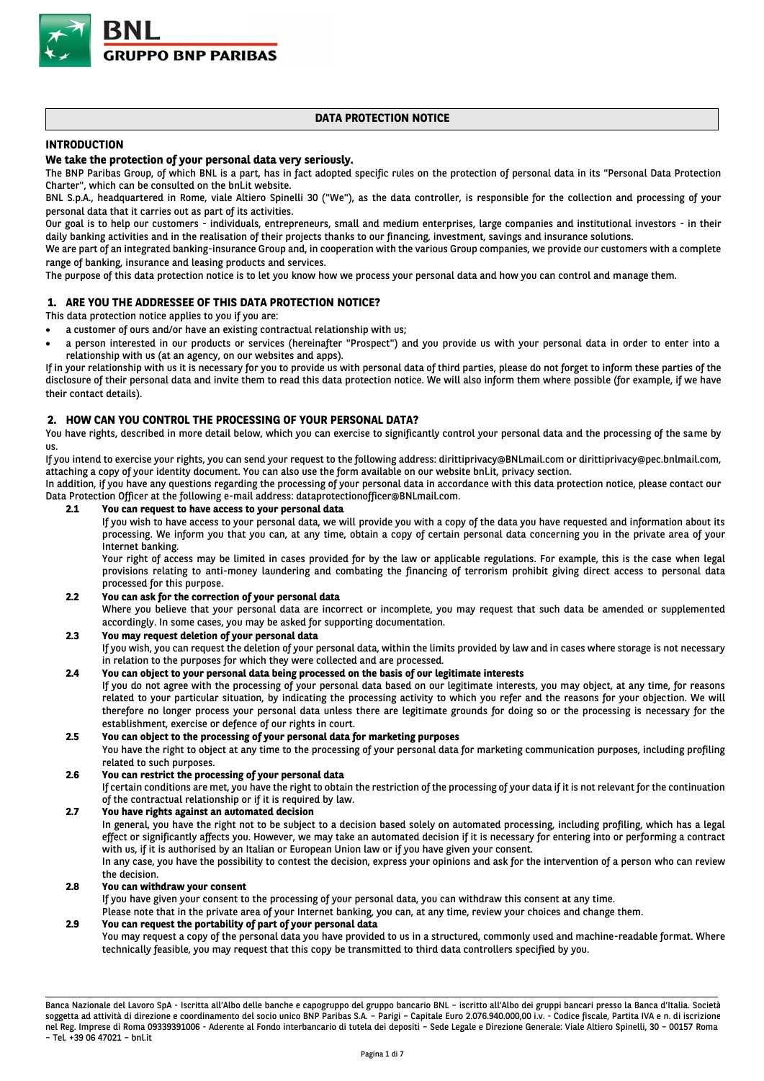

# **DATA PROTECTION NOTICE**

# **INTRODUCTION**

# **We take the protection of your personal data very seriously.**

The BNP Paribas Group, of which BNL is a part, has in fact adopted specific rules on the protection of personal data in its "Personal Data Protection Charter", which can be consulted on the bnl.it website.

BNL S.p.A., headquartered in Rome, viale Altiero Spinelli 30 ("We"), as the data controller, is responsible for the collection and processing of your personal data that it carries out as part of its activities.

Our goal is to help our customers - individuals, entrepreneurs, small and medium enterprises, large companies and institutional investors - in their daily banking activities and in the realisation of their projects thanks to our financing, investment, savings and insurance solutions.

We are part of an integrated banking-insurance Group and, in cooperation with the various Group companies, we provide our customers with a complete range of banking, insurance and leasing products and services.

The purpose of this data protection notice is to let you know how we process your personal data and how you can control and manage them.

# **1. ARE YOU THE ADDRESSEE OF THIS DATA PROTECTION NOTICE?**

This data protection notice applies to you if you are:

- a customer of ours and/or have an existing contractual relationship with us;
- a person interested in our products or services (hereinafter "Prospect") and you provide us with your personal data in order to enter into a relationship with us (at an agency, on our websites and apps).

If in your relationship with us it is necessary for you to provide us with personal data of third parties, please do not forget to inform these parties of the disclosure of their personal data and invite them to read this data protection notice. We will also inform them where possible (for example, if we have their contact details).

### **2. HOW CAN YOU CONTROL THE PROCESSING OF YOUR PERSONAL DATA?**

You have rights, described in more detail below, which you can exercise to significantly control your personal data and the processing of the same by us.

If you intend to exercise your rights, you can send your request to the following address: dirittiprivacy@BNLmail.com or dirittiprivacy@pec.bnlmail.com, attaching a copy of your identity document. You can also use the form available on our website bnl.it, privacy section.

In addition, if you have any questions regarding the processing of your personal data in accordance with this data protection notice, please contact our Data Protection Officer at the following e-mail address: dataprotectionofficer@BNLmail.com.

### **2.1 You can request to have access to your personal data**

If you wish to have access to your personal data, we will provide you with a copy of the data you have requested and information about its processing. We inform you that you can, at any time, obtain a copy of certain personal data concerning you in the private area of your Internet banking.

Your right of access may be limited in cases provided for by the law or applicable regulations. For example, this is the case when legal provisions relating to anti-money laundering and combating the financing of terrorism prohibit giving direct access to personal data processed for this purpose.

**2.2 You can ask for the correction of your personal data**

Where you believe that your personal data are incorrect or incomplete, you may request that such data be amended or supplemented accordingly. In some cases, you may be asked for supporting documentation.

#### **2.3 You may request deletion of your personal data**

If you wish, you can request the deletion of your personal data, within the limits provided by law and in cases where storage is not necessary in relation to the purposes for which they were collected and are processed.

# **2.4 You can object to your personal data being processed on the basis of our legitimate interests**

If you do not agree with the processing of your personal data based on our legitimate interests, you may object, at any time, for reasons related to your particular situation, by indicating the processing activity to which you refer and the reasons for your objection. We will therefore no longer process your personal data unless there are legitimate grounds for doing so or the processing is necessary for the establishment, exercise or defence of our rights in court.

#### **2.5 You can object to the processing of your personal data for marketing purposes**

You have the right to object at any time to the processing of your personal data for marketing communication purposes, including profiling related to such purposes.

#### **2.6 You can restrict the processing of your personal data**

If certain conditions are met, you have the right to obtain the restriction of the processing of your data if it is not relevant for the continuation of the contractual relationship or if it is required by law.

# **2.7 You have rights against an automated decision**

In general, you have the right not to be subject to a decision based solely on automated processing, including profiling, which has a legal effect or significantly affects you. However, we may take an automated decision if it is necessary for entering into or performing a contract with us, if it is authorised by an Italian or European Union law or if you have given your consent. In any case, you have the possibility to contest the decision, express your opinions and ask for the intervention of a person who can review

#### the decision. **2.8 You can withdraw your consent**

If you have given your consent to the processing of your personal data, you can withdraw this consent at any time.

Please note that in the private area of your Internet banking, you can, at any time, review your choices and change them.

#### **2.9 You can request the portability of part of your personal data**

You may request a copy of the personal data you have provided to us in a structured, commonly used and machine-readable format. Where technically feasible, you may request that this copy be transmitted to third data controllers specified by you.

Banca Nazionale del Lavoro SpA - Iscritta all'Albo delle banche e capogruppo del gruppo bancario BNL – iscritto all'Albo dei gruppi bancari presso la Banca d'Italia. Società soggetta ad attività di direzione e coordinamento del socio unico BNP Paribas S.A. – Parigi – Capitale Euro 2.076.940.000,00 i.v. - Codice fiscale, Partita IVA e n. di iscrizione nel Reg. Imprese di Roma 09339391006 - Aderente al Fondo interbancario di tutela dei depositi – Sede Legale e Direzione Generale: Viale Altiero Spinelli, 30 – 00157 Roma – Tel. +39 06 47021 – bnl.it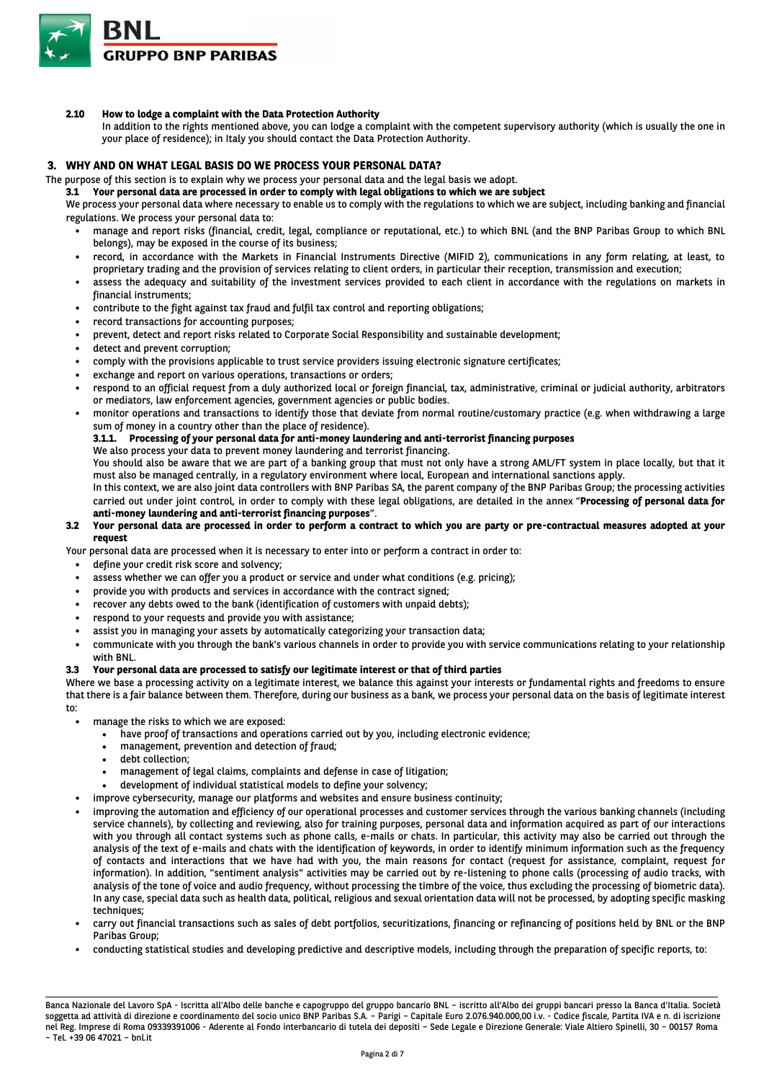

**2.10 How to lodge a complaint with the Data Protection Authority**

In addition to the rights mentioned above, you can lodge a complaint with the competent supervisory authority (which is usually the one in your place of residence); in Italy you should contact the Data Protection Authority.

### **3. WHY AND ON WHAT LEGAL BASIS DO WE PROCESS YOUR PERSONAL DATA?**

The purpose of this section is to explain why we process your personal data and the legal basis we adopt.

**3.1 Your personal data are processed in order to comply with legal obligations to which we are subject** 

We process your personal data where necessary to enable us to comply with the regulations to which we are subject, including banking and financial regulations. We process your personal data to:

- manage and report risks (financial, credit, legal, compliance or reputational, etc.) to which BNL (and the BNP Paribas Group to which BNL belongs), may be exposed in the course of its business;
- record, in accordance with the Markets in Financial Instruments Directive (MIFID 2), communications in any form relating, at least, to proprietary trading and the provision of services relating to client orders, in particular their reception, transmission and execution;
- assess the adequacy and suitability of the investment services provided to each client in accordance with the regulations on markets in financial instruments;
- contribute to the fight against tax fraud and fulfil tax control and reporting obligations;
- record transactions for accounting purposes;
- prevent, detect and report risks related to Corporate Social Responsibility and sustainable development;
- detect and prevent corruption;
- comply with the provisions applicable to trust service providers issuing electronic signature certificates;
- exchange and report on various operations, transactions or orders;
- respond to an official request from a duly authorized local or foreign financial, tax, administrative, criminal or judicial authority, arbitrators or mediators, law enforcement agencies, government agencies or public bodies.
- monitor operations and transactions to identify those that deviate from normal routine/customary practice (e.g. when withdrawing a large sum of money in a country other than the place of residence).

### **3.1.1. Processing of your personal data for anti-money laundering and anti-terrorist financing purposes**

We also process your data to prevent money laundering and terrorist financing.

You should also be aware that we are part of a banking group that must not only have a strong AML/FT system in place locally, but that it must also be managed centrally, in a regulatory environment where local, European and international sanctions apply.

In this context, we are also joint data controllers with BNP Paribas SA, the parent company of the BNP Paribas Group; the processing activities carried out under joint control, in order to comply with these legal obligations, are detailed in the annex "**Processing of personal data for anti-money laundering and anti-terrorist financing purposes**".

#### **3.2 Your personal data are processed in order to perform a contract to which you are party or pre-contractual measures adopted at your request**

Your personal data are processed when it is necessary to enter into or perform a contract in order to:

- define your credit risk score and solvency;
- assess whether we can offer you a product or service and under what conditions (e.g. pricing);
- provide you with products and services in accordance with the contract signed;
- recover any debts owed to the bank (identification of customers with unpaid debts);
- respond to your requests and provide you with assistance;
- assist you in managing your assets by automatically categorizing your transaction data;
- communicate with you through the bank's various channels in order to provide you with service communications relating to your relationship with BNL.

#### **3.3 Your personal data are processed to satisfy our legitimate interest or that of third parties**

Where we base a processing activity on a legitimate interest, we balance this against your interests or fundamental rights and freedoms to ensure that there is a fair balance between them. Therefore, during our business as a bank, we process your personal data on the basis of legitimate interest to:

- manage the risks to which we are exposed:
	- have proof of transactions and operations carried out by you, including electronic evidence;
	- management, prevention and detection of fraud;
	- debt collection;
	- management of legal claims, complaints and defense in case of litigation;
	- development of individual statistical models to define your solvency;
	- improve cybersecurity, manage our platforms and websites and ensure business continuity;
- improving the automation and efficiency of our operational processes and customer services through the various banking channels (including service channels), by collecting and reviewing, also for training purposes, personal data and information acquired as part of our interactions with you through all contact systems such as phone calls, e-mails or chats. In particular, this activity may also be carried out through the analysis of the text of e-mails and chats with the identification of keywords, in order to identify minimum information such as the frequency of contacts and interactions that we have had with you, the main reasons for contact (request for assistance, complaint, request for information). In addition, "sentiment analysis" activities may be carried out by re-listening to phone calls (processing of audio tracks, with analysis of the tone of voice and audio frequency, without processing the timbre of the voice, thus excluding the processing of biometric data). In any case, special data such as health data, political, religious and sexual orientation data will not be processed, by adopting specific masking techniques;
- carry out financial transactions such as sales of debt portfolios, securitizations, financing or refinancing of positions held by BNL or the BNP Paribas Group;
- conducting statistical studies and developing predictive and descriptive models, including through the preparation of specific reports, to:

Banca Nazionale del Lavoro SpA - Iscritta all'Albo delle banche e capogruppo del gruppo bancario BNL – iscritto all'Albo dei gruppi bancari presso la Banca d'Italia. Società soggetta ad attività di direzione e coordinamento del socio unico BNP Paribas S.A. – Parigi – Capitale Euro 2.076.940.000,00 i.v. - Codice fiscale, Partita IVA e n. di iscrizione nel Reg. Imprese di Roma 09339391006 - Aderente al Fondo interbancario di tutela dei depositi – Sede Legale e Direzione Generale: Viale Altiero Spinelli, 30 – 00157 Roma – Tel. +39 06 47021 – bnl.it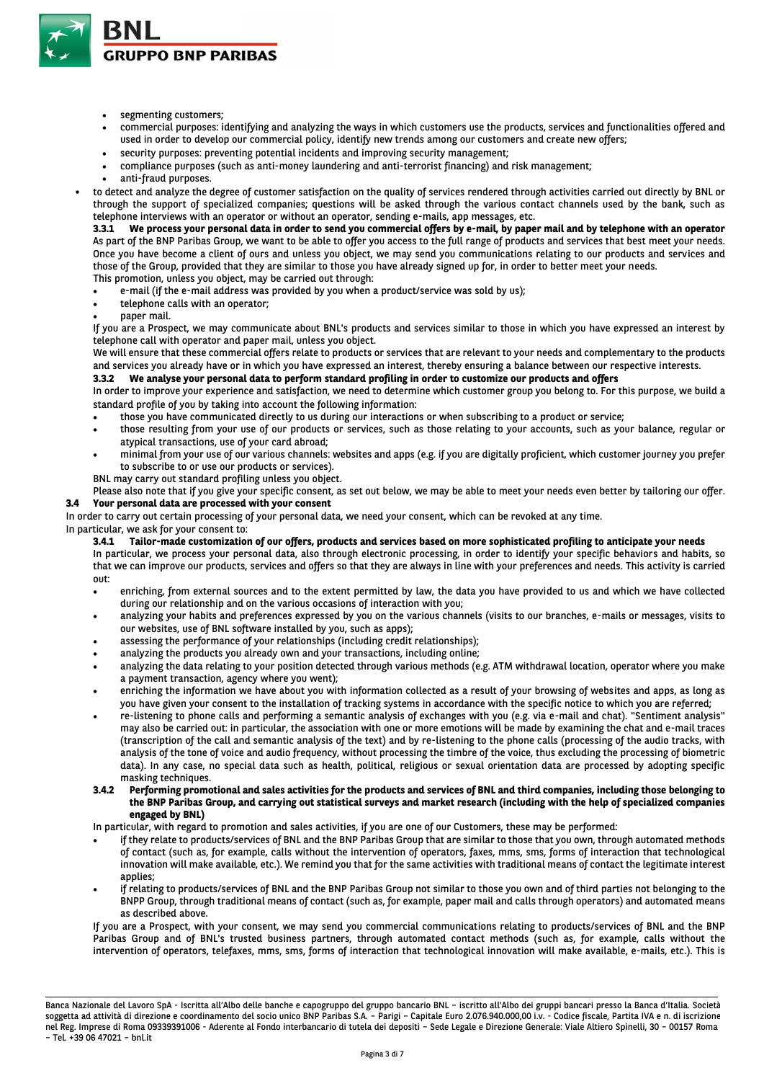

- segmenting customers;
- commercial purposes: identifying and analyzing the ways in which customers use the products, services and functionalities offered and used in order to develop our commercial policy, identify new trends among our customers and create new offers;
- security purposes: preventing potential incidents and improving security management;
- compliance purposes (such as anti-money laundering and anti-terrorist financing) and risk management;
- anti-fraud purposes.
- to detect and analyze the degree of customer satisfaction on the quality of services rendered through activities carried out directly by BNL or through the support of specialized companies; questions will be asked through the various contact channels used by the bank, such as telephone interviews with an operator or without an operator, sending e-mails, app messages, etc.

**3.3.1 We process your personal data in order to send you commercial offers by e-mail, by paper mail and by telephone with an operator**  As part of the BNP Paribas Group, we want to be able to offer you access to the full range of products and services that best meet your needs. Once you have become a client of ours and unless you object, we may send you communications relating to our products and services and those of the Group, provided that they are similar to those you have already signed up for, in order to better meet your needs. This promotion, unless you object, may be carried out through:

- e-mail (if the e-mail address was provided by you when a product/service was sold by us);
- telephone calls with an operator;
- paper mail.

If you are a Prospect, we may communicate about BNL's products and services similar to those in which you have expressed an interest by telephone call with operator and paper mail, unless you object.

We will ensure that these commercial offers relate to products or services that are relevant to your needs and complementary to the products and services you already have or in which you have expressed an interest, thereby ensuring a balance between our respective interests.

# **3.3.2 We analyse your personal data to perform standard profiling in order to customize our products and offers**

In order to improve your experience and satisfaction, we need to determine which customer group you belong to. For this purpose, we build a standard profile of you by taking into account the following information:

- those you have communicated directly to us during our interactions or when subscribing to a product or service;
- those resulting from your use of our products or services, such as those relating to your accounts, such as your balance, regular or atypical transactions, use of your card abroad;
- minimal from your use of our various channels: websites and apps (e.g. if you are digitally proficient, which customer journey you prefer to subscribe to or use our products or services).
- BNL may carry out standard profiling unless you object.

Please also note that if you give your specific consent, as set out below, we may be able to meet your needs even better by tailoring our offer. **3.4 Your personal data are processed with your consent** 

In order to carry out certain processing of your personal data, we need your consent, which can be revoked at any time.

In particular, we ask for your consent to:

**3.4.1 Tailor-made customization of our offers, products and services based on more sophisticated profiling to anticipate your needs**  In particular, we process your personal data, also through electronic processing, in order to identify your specific behaviors and habits, so that we can improve our products, services and offers so that they are always in line with your preferences and needs. This activity is carried out:

- enriching, from external sources and to the extent permitted by law, the data you have provided to us and which we have collected during our relationship and on the various occasions of interaction with you;
- analyzing your habits and preferences expressed by you on the various channels (visits to our branches, e-mails or messages, visits to our websites, use of BNL software installed by you, such as apps);
- assessing the performance of your relationships (including credit relationships);
- analyzing the products you already own and your transactions, including online;
- analyzing the data relating to your position detected through various methods (e.g. ATM withdrawal location, operator where you make a payment transaction, agency where you went);
- enriching the information we have about you with information collected as a result of your browsing of websites and apps, as long as you have given your consent to the installation of tracking systems in accordance with the specific notice to which you are referred;
- re-listening to phone calls and performing a semantic analysis of exchanges with you (e.g. via e-mail and chat). "Sentiment analysis" may also be carried out: in particular, the association with one or more emotions will be made by examining the chat and e-mail traces (transcription of the call and semantic analysis of the text) and by re-listening to the phone calls (processing of the audio tracks, with analysis of the tone of voice and audio frequency, without processing the timbre of the voice, thus excluding the processing of biometric data). In any case, no special data such as health, political, religious or sexual orientation data are processed by adopting specific masking techniques.

#### **3.4.2 Performing promotional and sales activities for the products and services of BNL and third companies, including those belonging to the BNP Paribas Group, and carrying out statistical surveys and market research (including with the help of specialized companies engaged by BNL)**

In particular, with regard to promotion and sales activities, if you are one of our Customers, these may be performed:

- if they relate to products/services of BNL and the BNP Paribas Group that are similar to those that you own, through automated methods of contact (such as, for example, calls without the intervention of operators, faxes, mms, sms, forms of interaction that technological innovation will make available, etc.). We remind you that for the same activities with traditional means of contact the legitimate interest applies;
- if relating to products/services of BNL and the BNP Paribas Group not similar to those you own and of third parties not belonging to the BNPP Group, through traditional means of contact (such as, for example, paper mail and calls through operators) and automated means as described above.

If you are a Prospect, with your consent, we may send you commercial communications relating to products/services of BNL and the BNP Paribas Group and of BNL's trusted business partners, through automated contact methods (such as, for example, calls without the intervention of operators, telefaxes, mms, sms, forms of interaction that technological innovation will make available, e-mails, etc.). This is

Banca Nazionale del Lavoro SpA - Iscritta all'Albo delle banche e capogruppo del gruppo bancario BNL – iscritto all'Albo dei gruppi bancari presso la Banca d'Italia. Società soggetta ad attività di direzione e coordinamento del socio unico BNP Paribas S.A. – Parigi – Capitale Euro 2.076.940.000,00 i.v. - Codice fiscale, Partita IVA e n. di iscrizione nel Reg. Imprese di Roma 09339391006 - Aderente al Fondo interbancario di tutela dei depositi – Sede Legale e Direzione Generale: Viale Altiero Spinelli, 30 – 00157 Roma – Tel. +39 06 47021 – bnl.it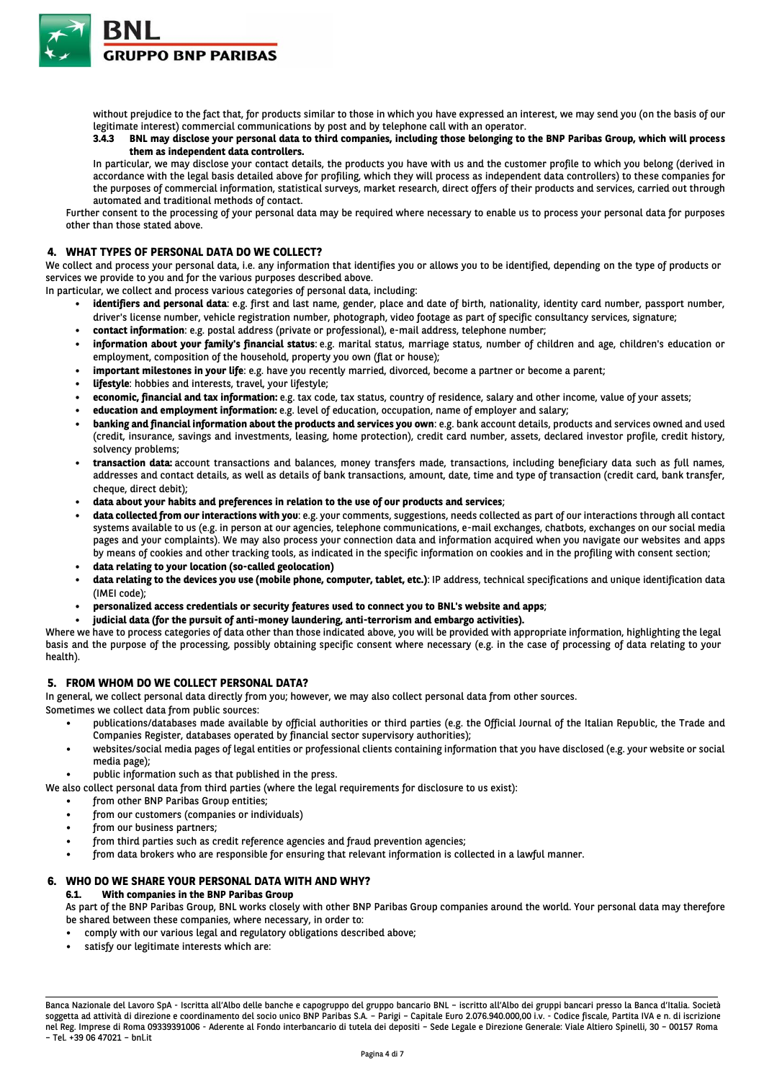

without prejudice to the fact that, for products similar to those in which you have expressed an interest, we may send you (on the basis of our legitimate interest) commercial communications by post and by telephone call with an operator.

### **3.4.3 BNL may disclose your personal data to third companies, including those belonging to the BNP Paribas Group, which will process them as independent data controllers.**

In particular, we may disclose your contact details, the products you have with us and the customer profile to which you belong (derived in accordance with the legal basis detailed above for profiling, which they will process as independent data controllers) to these companies for the purposes of commercial information, statistical surveys, market research, direct offers of their products and services, carried out through automated and traditional methods of contact.

Further consent to the processing of your personal data may be required where necessary to enable us to process your personal data for purposes other than those stated above.

### **4. WHAT TYPES OF PERSONAL DATA DO WE COLLECT?**

We collect and process your personal data, i.e. any information that identifies you or allows you to be identified, depending on the type of products or services we provide to you and for the various purposes described above.

In particular, we collect and process various categories of personal data, including:

- identifiers and personal data: e.g. first and last name, gender, place and date of birth, nationality, identity card number, passport number, driver's license number, vehicle registration number, photograph, video footage as part of specific consultancy services, signature;
- **contact information**: e.g. postal address (private or professional), e-mail address, telephone number;
- **information about your family's financial status**: e.g. marital status, marriage status, number of children and age, children's education or employment, composition of the household, property you own (flat or house);
- **important milestones in your life**: e.g. have you recently married, divorced, become a partner or become a parent;
- **lifestyle**: hobbies and interests, travel, your lifestyle;
- **economic, financial and tax information:** e.g. tax code, tax status, country of residence, salary and other income, value of your assets;
- **education and employment information:** e.g. level of education, occupation, name of employer and salary;
- **banking and financial information about the products and services you own**: e.g. bank account details, products and services owned and used (credit, insurance, savings and investments, leasing, home protection), credit card number, assets, declared investor profile, credit history, solvency problems;
- **transaction data:** account transactions and balances, money transfers made, transactions, including beneficiary data such as full names, addresses and contact details, as well as details of bank transactions, amount, date, time and type of transaction (credit card, bank transfer, cheque, direct debit);
- **data about your habits and preferences in relation to the use of our products and services**;
- **data collected from our interactions with you**: e.g. your comments, suggestions, needs collected as part of our interactions through all contact systems available to us (e.g. in person at our agencies, telephone communications, e-mail exchanges, chatbots, exchanges on our social media pages and your complaints). We may also process your connection data and information acquired when you navigate our websites and apps by means of cookies and other tracking tools, as indicated in the specific information on cookies and in the profiling with consent section;
- **data relating to your location (so-called geolocation)**
- **data relating to the devices you use (mobile phone, computer, tablet, etc.)**: IP address, technical specifications and unique identification data (IMEI code);
- **personalized access credentials or security features used to connect you to BNL's website and apps**;
- **judicial data (for the pursuit of anti-money laundering, anti-terrorism and embargo activities).**

Where we have to process categories of data other than those indicated above, you will be provided with appropriate information, highlighting the legal basis and the purpose of the processing, possibly obtaining specific consent where necessary (e.g. in the case of processing of data relating to your health).

### **5. FROM WHOM DO WE COLLECT PERSONAL DATA?**

In general, we collect personal data directly from you; however, we may also collect personal data from other sources.

Sometimes we collect data from public sources:

- publications/databases made available by official authorities or third parties (e.g. the Official Journal of the Italian Republic, the Trade and Companies Register, databases operated by financial sector supervisory authorities);
- websites/social media pages of legal entities or professional clients containing information that you have disclosed (e.g. your website or social media page);
- public information such as that published in the press.
- We also collect personal data from third parties (where the legal requirements for disclosure to us exist):
	- from other BNP Paribas Group entities;
		- from our customers (companies or individuals)
		- from our business partners;
		- from third parties such as credit reference agencies and fraud prevention agencies;
		- from data brokers who are responsible for ensuring that relevant information is collected in a lawful manner.

# **6. WHO DO WE SHARE YOUR PERSONAL DATA WITH AND WHY?**

**6.1. With companies in the BNP Paribas Group**

As part of the BNP Paribas Group, BNL works closely with other BNP Paribas Group companies around the world. Your personal data may therefore be shared between these companies, where necessary, in order to:

- comply with our various legal and regulatory obligations described above;
- satisfy our legitimate interests which are:

Banca Nazionale del Lavoro SpA - Iscritta all'Albo delle banche e capogruppo del gruppo bancario BNL – iscritto all'Albo dei gruppi bancari presso la Banca d'Italia. Società soggetta ad attività di direzione e coordinamento del socio unico BNP Paribas S.A. – Parigi – Capitale Euro 2.076.940.000,00 i.v. - Codice fiscale, Partita IVA e n. di iscrizione nel Reg. Imprese di Roma 09339391006 - Aderente al Fondo interbancario di tutela dei depositi – Sede Legale e Direzione Generale: Viale Altiero Spinelli, 30 – 00157 Roma – Tel. +39 06 47021 – bnl.it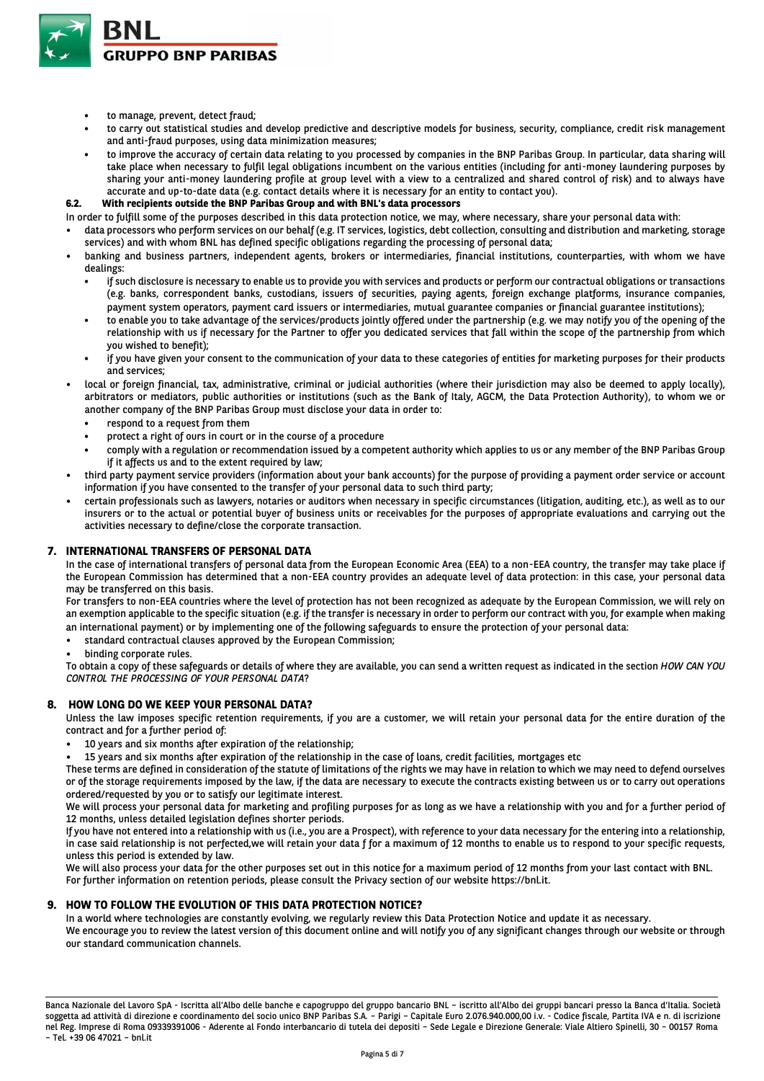

- to manage, prevent, detect fraud;
- to carry out statistical studies and develop predictive and descriptive models for business, security, compliance, credit risk management and anti-fraud purposes, using data minimization measures;
- to improve the accuracy of certain data relating to you processed by companies in the BNP Paribas Group. In particular, data sharing will take place when necessary to fulfil legal obligations incumbent on the various entities (including for anti-money laundering purposes by sharing your anti-money laundering profile at group level with a view to a centralized and shared control of risk) and to always have accurate and up-to-date data (e.g. contact details where it is necessary for an entity to contact you).

### **6.2. With recipients outside the BNP Paribas Group and with BNL's data processors**

- In order to fulfill some of the purposes described in this data protection notice, we may, where necessary, share your personal data with:
- data processors who perform services on our behalf (e.g. IT services, logistics, debt collection, consulting and distribution and marketing, storage services) and with whom BNL has defined specific obligations regarding the processing of personal data;
- banking and business partners, independent agents, brokers or intermediaries, financial institutions, counterparties, with whom we have dealings:
	- if such disclosure is necessary to enable us to provide you with services and products or perform our contractual obligations or transactions (e.g. banks, correspondent banks, custodians, issuers of securities, paying agents, foreign exchange platforms, insurance companies, payment system operators, payment card issuers or intermediaries, mutual guarantee companies or financial guarantee institutions);
	- to enable you to take advantage of the services/products jointly offered under the partnership (e.g. we may notify you of the opening of the relationship with us if necessary for the Partner to offer you dedicated services that fall within the scope of the partnership from which you wished to benefit);
	- if you have given your consent to the communication of your data to these categories of entities for marketing purposes for their products and services;
- local or foreign financial, tax, administrative, criminal or judicial authorities (where their jurisdiction may also be deemed to apply locally), arbitrators or mediators, public authorities or institutions (such as the Bank of Italy, AGCM, the Data Protection Authority), to whom we or another company of the BNP Paribas Group must disclose your data in order to:
	- respond to a request from them
	- protect a right of ours in court or in the course of a procedure
	- comply with a regulation or recommendation issued by a competent authority which applies to us or any member of the BNP Paribas Group if it affects us and to the extent required by law;
- third party payment service providers (information about your bank accounts) for the purpose of providing a payment order service or account information if you have consented to the transfer of your personal data to such third party;
- certain professionals such as lawyers, notaries or auditors when necessary in specific circumstances (litigation, auditing, etc.), as well as to our insurers or to the actual or potential buyer of business units or receivables for the purposes of appropriate evaluations and carrying out the activities necessary to define/close the corporate transaction.

### **7. INTERNATIONAL TRANSFERS OF PERSONAL DATA**

In the case of international transfers of personal data from the European Economic Area (EEA) to a non-EEA country, the transfer may take place if the European Commission has determined that a non-EEA country provides an adequate level of data protection: in this case, your personal data may be transferred on this basis.

For transfers to non-EEA countries where the level of protection has not been recognized as adequate by the European Commission, we will rely on an exemption applicable to the specific situation (e.g. if the transfer is necessary in order to perform our contract with you, for example when making an international payment) or by implementing one of the following safeguards to ensure the protection of your personal data:

- standard contractual clauses approved by the European Commission;
- binding corporate rules.

To obtain a copy of these safeguards or details of where they are available, you can send a written request as indicated in the section *HOW CAN YOU CONTROL THE PROCESSING OF YOUR PERSONAL DATA*?

#### **8. HOW LONG DO WE KEEP YOUR PERSONAL DATA?**

Unless the law imposes specific retention requirements, if you are a customer, we will retain your personal data for the entire duration of the contract and for a further period of:

- 10 years and six months after expiration of the relationship;
- 15 years and six months after expiration of the relationship in the case of loans, credit facilities, mortgages etc

These terms are defined in consideration of the statute of limitations of the rights we may have in relation to which we may need to defend ourselves or of the storage requirements imposed by the law, if the data are necessary to execute the contracts existing between us or to carry out operations ordered/requested by you or to satisfy our legitimate interest.

We will process your personal data for marketing and profiling purposes for as long as we have a relationship with you and for a further period of 12 months, unless detailed legislation defines shorter periods.

If you have not entered into a relationship with us (i.e., you are a Prospect), with reference to your data necessary for the entering into a relationship, in case said relationship is not perfected,we will retain your data f for a maximum of 12 months to enable us to respond to your specific requests, unless this period is extended by law.

We will also process your data for the other purposes set out in this notice for a maximum period of 12 months from your last contact with BNL. For further information on retention periods, please consult the Privacy section of our website https://bnl.it.

# **9. HOW TO FOLLOW THE EVOLUTION OF THIS DATA PROTECTION NOTICE?**

In a world where technologies are constantly evolving, we regularly review this Data Protection Notice and update it as necessary. We encourage you to review the latest version of this document online and will notify you of any significant changes through our website or through our standard communication channels.

Banca Nazionale del Lavoro SpA - Iscritta all'Albo delle banche e capogruppo del gruppo bancario BNL – iscritto all'Albo dei gruppi bancari presso la Banca d'Italia. Società soggetta ad attività di direzione e coordinamento del socio unico BNP Paribas S.A. – Parigi – Capitale Euro 2.076.940.000,00 i.v. - Codice fiscale, Partita IVA e n. di iscrizione nel Reg. Imprese di Roma 09339391006 - Aderente al Fondo interbancario di tutela dei depositi – Sede Legale e Direzione Generale: Viale Altiero Spinelli, 30 – 00157 Roma – Tel. +39 06 47021 – bnl.it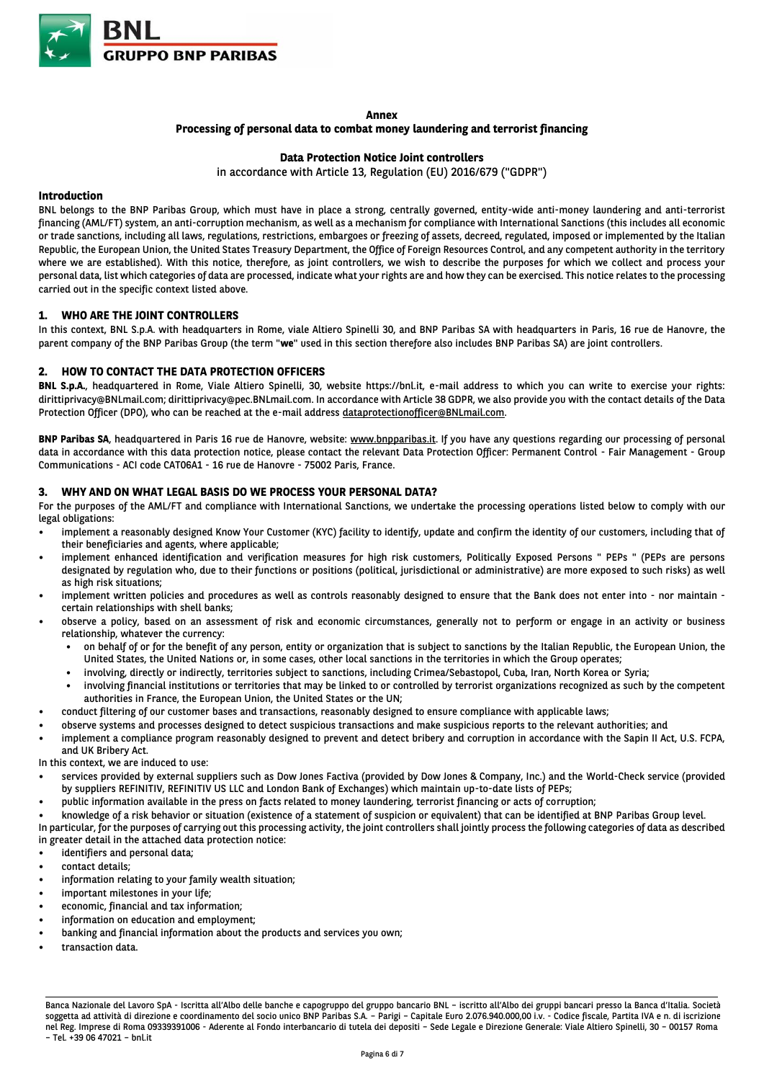

#### **Annex**

#### **Processing of personal data to combat money laundering and terrorist financing**

### **Data Protection Notice Joint controllers**

in accordance with Article 13, Regulation (EU) 2016/679 ("GDPR")

### **Introduction**

BNL belongs to the BNP Paribas Group, which must have in place a strong, centrally governed, entity-wide anti-money laundering and anti-terrorist financing (AML/FT) system, an anti-corruption mechanism, as well as a mechanism for compliance with International Sanctions (this includes all economic or trade sanctions, including all laws, regulations, restrictions, embargoes or freezing of assets, decreed, regulated, imposed or implemented by the Italian Republic, the European Union, the United States Treasury Department, the Office of Foreign Resources Control, and any competent authority in the territory where we are established). With this notice, therefore, as joint controllers, we wish to describe the purposes for which we collect and process your personal data, list which categories of data are processed, indicate what your rights are and how they can be exercised. This notice relates to the processing carried out in the specific context listed above.

#### **1. WHO ARE THE JOINT CONTROLLERS**

In this context, BNL S.p.A. with headquarters in Rome, viale Altiero Spinelli 30, and BNP Paribas SA with headquarters in Paris, 16 rue de Hanovre, the parent company of the BNP Paribas Group (the term "**we**" used in this section therefore also includes BNP Paribas SA) are joint controllers.

### **2. HOW TO CONTACT THE DATA PROTECTION OFFICERS**

**BNL S.p.A.**, headquartered in Rome, Viale Altiero Spinelli, 30, website https://bnl.it, e-mail address to which you can write to exercise your rights: dirittiprivacy@BNLmail.com; dirittiprivacy@pec.BNLmail.com. In accordance with Article 38 GDPR, we also provide you with the contact details of the Data Protection Officer (DPO), who can be reached at the e-mail address dataprotectionofficer@BNLmail.com.

**BNP Paribas SA**, headquartered in Paris 16 rue de Hanovre, website: www.bnpparibas.it. If you have any questions regarding our processing of personal data in accordance with this data protection notice, please contact the relevant Data Protection Officer: Permanent Control - Fair Management - Group Communications - ACI code CAT06A1 - 16 rue de Hanovre - 75002 Paris, France.

### **3. WHY AND ON WHAT LEGAL BASIS DO WE PROCESS YOUR PERSONAL DATA?**

For the purposes of the AML/FT and compliance with International Sanctions, we undertake the processing operations listed below to comply with our legal obligations:

- implement a reasonably designed Know Your Customer (KYC) facility to identify, update and confirm the identity of our customers, including that of their beneficiaries and agents, where applicable;
- implement enhanced identification and verification measures for high risk customers, Politically Exposed Persons " PEPs " (PEPs are persons designated by regulation who, due to their functions or positions (political, jurisdictional or administrative) are more exposed to such risks) as well as high risk situations;
- implement written policies and procedures as well as controls reasonably designed to ensure that the Bank does not enter into nor maintain certain relationships with shell banks;
- observe a policy, based on an assessment of risk and economic circumstances, generally not to perform or engage in an activity or business relationship, whatever the currency:
	- on behalf of or for the benefit of any person, entity or organization that is subject to sanctions by the Italian Republic, the European Union, the United States, the United Nations or, in some cases, other local sanctions in the territories in which the Group operates;
	- involving, directly or indirectly, territories subject to sanctions, including Crimea/Sebastopol, Cuba, Iran, North Korea or Syria;
	- involving financial institutions or territories that may be linked to or controlled by terrorist organizations recognized as such by the competent authorities in France, the European Union, the United States or the UN;
- conduct filtering of our customer bases and transactions, reasonably designed to ensure compliance with applicable laws;
- observe systems and processes designed to detect suspicious transactions and make suspicious reports to the relevant authorities; and
- implement a compliance program reasonably designed to prevent and detect bribery and corruption in accordance with the Sapin II Act, U.S. FCPA, and UK Bribery Act.
- In this context, we are induced to use:
- services provided by external suppliers such as Dow Jones Factiva (provided by Dow Jones & Company, Inc.) and the World-Check service (provided by suppliers REFINITIV, REFINITIV US LLC and London Bank of Exchanges) which maintain up-to-date lists of PEPs;
- public information available in the press on facts related to money laundering, terrorist financing or acts of corruption;
- knowledge of a risk behavior or situation (existence of a statement of suspicion or equivalent) that can be identified at BNP Paribas Group level.
- In particular, for the purposes of carrying out this processing activity, the joint controllers shall jointly process the following categories of data as described in greater detail in the attached data protection notice:
- identifiers and personal data;
- contact details:
- information relating to your family wealth situation;
- important milestones in your life;
- economic, financial and tax information;
- information on education and employment;
- banking and financial information about the products and services you own;
- transaction data.

Banca Nazionale del Lavoro SpA - Iscritta all'Albo delle banche e capogruppo del gruppo bancario BNL – iscritto all'Albo dei gruppi bancari presso la Banca d'Italia. Società soggetta ad attività di direzione e coordinamento del socio unico BNP Paribas S.A. – Parigi – Capitale Euro 2.076.940.000,00 i.v. - Codice fiscale, Partita IVA e n. di iscrizione nel Reg. Imprese di Roma 09339391006 - Aderente al Fondo interbancario di tutela dei depositi – Sede Legale e Direzione Generale: Viale Altiero Spinelli, 30 – 00157 Roma – Tel. +39 06 47021 – bnl.it